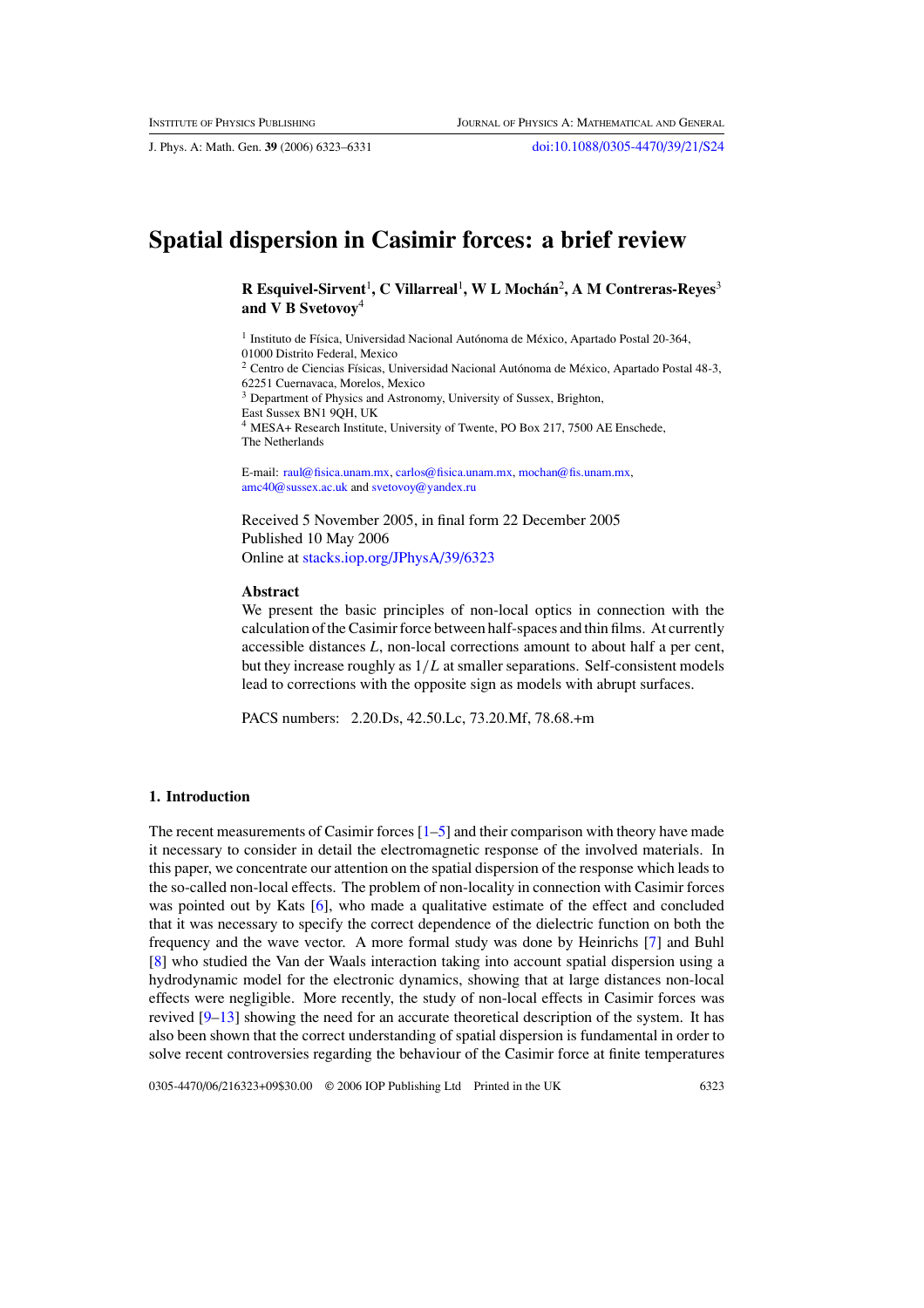J. Phys. A: Math. Gen. **39** (2006) 6323–6331 [doi:10.1088/0305-4470/39/21/S24](http://dx.doi.org/10.1088/0305-4470/39/21/S24)

# **Spatial dispersion in Casimir forces: a brief review**

 $R$  Esquivel-Sirvent<sup>1</sup>, C Villarreal<sup>1</sup>, W L Mochán<sup>2</sup>, A M Contreras-Reyes<sup>3</sup> **and V B Svetovoy**<sup>4</sup>

 $1$  Instituto de Física, Universidad Nacional Autónoma de México, Apartado Postal 20-364, 01000 Distrito Federal, Mexico

<sup>2</sup> Centro de Ciencias Físicas, Universidad Nacional Autónoma de México, Apartado Postal 48-3, 62251 Cuernavaca, Morelos, Mexico

<sup>3</sup> Department of Physics and Astronomy, University of Sussex, Brighton,

East Sussex BN1 9QH, UK

<sup>4</sup> MESA+ Research Institute, University of Twente, PO Box 217, 7500 AE Enschede, The Netherlands

E-mail: [raul@fisica.unam.mx,](mailto:raul@fisica.unam.mx) [carlos@fisica.unam.mx,](mailto:carlos@fisica.unam.mx) [mochan@fis.unam.mx,](mailto:mochan@fis.unam.mx) [amc40@sussex.ac.uk](mailto:amc40@sussex.ac.uk) and [svetovoy@yandex.ru](mailto:svetovoy@yandex.ru)

Received 5 November 2005, in final form 22 December 2005 Published 10 May 2006 Online at [stacks.iop.org/JPhysA/39/6323](http://stacks.iop.org/JPhysA/39/6323)

#### **Abstract**

We present the basic principles of non-local optics in connection with the calculation of the Casimir force between half-spaces and thin films. At currently accessible distances *L*, non-local corrections amount to about half a per cent, but they increase roughly as 1*/L* at smaller separations. Self-consistent models lead to corrections with the opposite sign as models with abrupt surfaces.

PACS numbers: 2.20.Ds, 42.50.Lc, 73.20.Mf, 78.68.+m

# **1. Introduction**

The recent measurements of Casimir forces  $[1-5]$  and their comparison with theory have made it necessary to consider in detail the electromagnetic response of the involved materials. In this paper, we concentrate our attention on the spatial dispersion of the response which leads to the so-called non-local effects. The problem of non-locality in connection with Casimir forces was pointed out by Kats [\[6](#page-8-0)], who made a qualitative estimate of the effect and concluded that it was necessary to specify the correct dependence of the dielectric function on both the frequency and the wave vector. A more formal study was done by Heinrichs [\[7\]](#page-8-0) and Buhl [\[8](#page-8-0)] who studied the Van der Waals interaction taking into account spatial dispersion using a hydrodynamic model for the electronic dynamics, showing that at large distances non-local effects were negligible. More recently, the study of non-local effects in Casimir forces was revived  $[9-13]$  showing the need for an accurate theoretical description of the system. It has also been shown that the correct understanding of spatial dispersion is fundamental in order to solve recent controversies regarding the behaviour of the Casimir force at finite temperatures

0305-4470/06/216323+09\$30.00 © 2006 IOP Publishing Ltd Printed in the UK 6323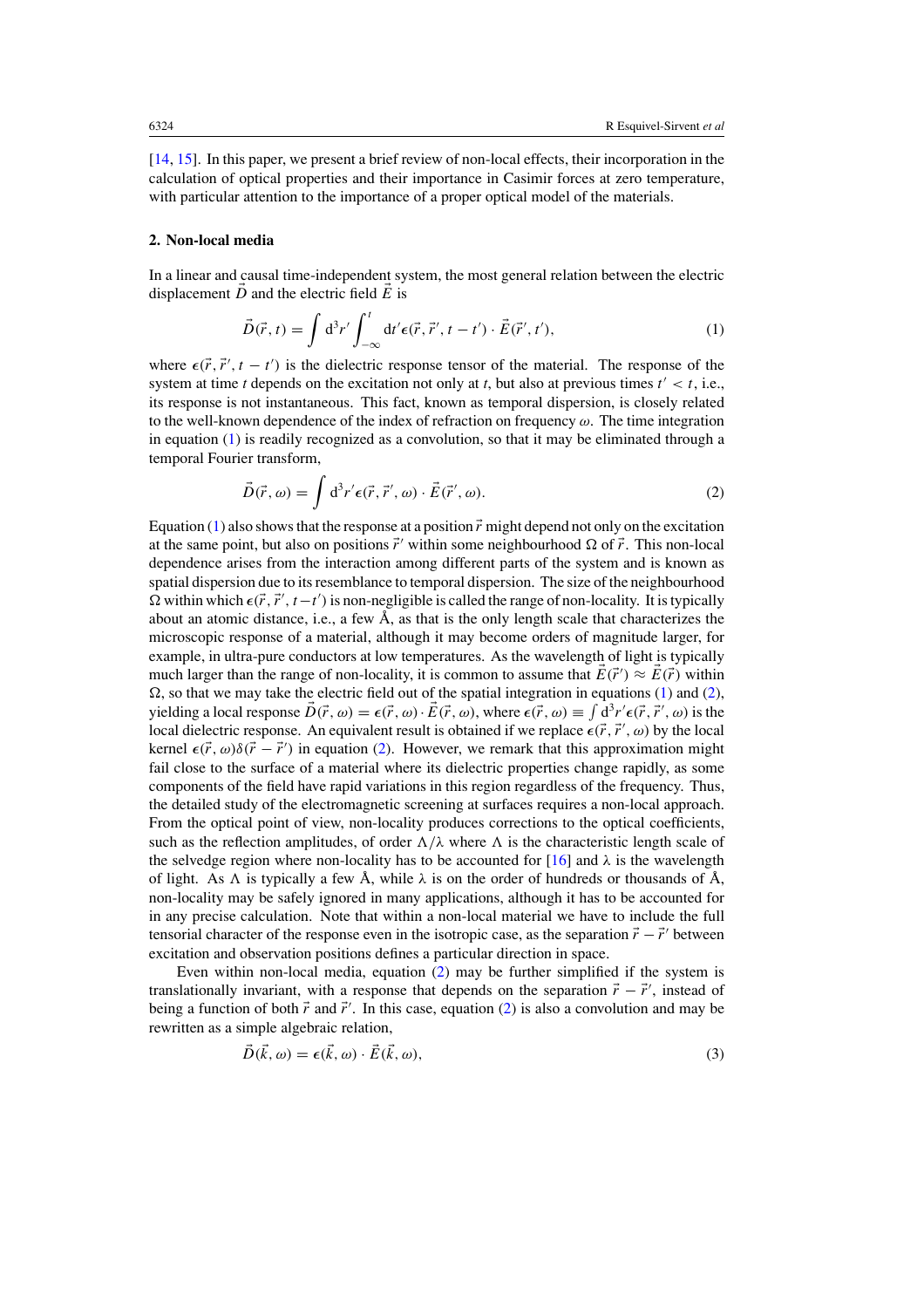<span id="page-1-0"></span>[\[14](#page-8-0), [15\]](#page-8-0). In this paper, we present a brief review of non-local effects, their incorporation in the calculation of optical properties and their importance in Casimir forces at zero temperature, with particular attention to the importance of a proper optical model of the materials.

#### **2. Non-local media**

In a linear and causal time-independent system, the most general relation between the electric displacement  $\vec{D}$  and the electric field  $\vec{E}$  is

$$
\vec{D}(\vec{r},t) = \int d^3r' \int_{-\infty}^t dt' \epsilon(\vec{r},\vec{r}',t-t') \cdot \vec{E}(\vec{r}',t'), \tag{1}
$$

where  $\epsilon(\vec{r}, \vec{r}', t - t')$  is the dielectric response tensor of the material. The response of the system at time *t* depends on the excitation not only at *t*, but also at previous times  $t' < t$ , i.e., its response is not instantaneous. This fact, known as temporal dispersion, is closely related to the well-known dependence of the index of refraction on frequency *ω*. The time integration in equation (1) is readily recognized as a convolution, so that it may be eliminated through a temporal Fourier transform,

$$
\vec{D}(\vec{r},\omega) = \int d^3r' \epsilon(\vec{r},\vec{r}',\omega) \cdot \vec{E}(\vec{r}',\omega).
$$
 (2)

Equation (1) also shows that the response at a position  $\vec{r}$  might depend not only on the excitation at the same point, but also on positions  $\vec{r}'$  within some neighbourhood  $\Omega$  of  $\vec{r}$ . This non-local dependence arises from the interaction among different parts of the system and is known as spatial dispersion due to its resemblance to temporal dispersion. The size of the neighbourhood  $\Omega$  within which  $\epsilon(\vec{r}, \vec{r}', t-t')$  is non-negligible is called the range of non-locality. It is typically about an atomic distance, i.e., a few  $\hat{A}$ , as that is the only length scale that characterizes the microscopic response of a material, although it may become orders of magnitude larger, for example, in ultra-pure conductors at low temperatures. As the wavelength of light is typically much larger than the range of non-locality, it is common to assume that  $E(\vec{r}') \approx E(\vec{r})$  within  $\Omega$ , so that we may take the electric field out of the spatial integration in equations (1) and (2), yielding a local response  $\vec{D}(\vec{r}, \omega) = \epsilon(\vec{r}, \omega) \cdot \vec{E}(\vec{r}, \omega)$ , where  $\epsilon(\vec{r}, \omega) \equiv \int d^3r' \epsilon(\vec{r}, \vec{r}', \omega)$  is the local dielectric response. An equivalent result is obtained if we replace  $\epsilon(\vec{r}, \vec{r}', \omega)$  by the local kernel  $\epsilon(\vec{r}, \omega)\delta(\vec{r} - \vec{r}')$  in equation (2). However, we remark that this approximation might fail close to the surface of a material where its dielectric properties change rapidly, as some components of the field have rapid variations in this region regardless of the frequency. Thus, the detailed study of the electromagnetic screening at surfaces requires a non-local approach. From the optical point of view, non-locality produces corrections to the optical coefficients, such as the reflection amplitudes, of order  $\Lambda/\lambda$  where  $\Lambda$  is the characteristic length scale of the selvedge region where non-locality has to be accounted for  $[16]$  and  $\lambda$  is the wavelength of light. As  $\Lambda$  is typically a few  $\AA$ , while  $\lambda$  is on the order of hundreds or thousands of  $\AA$ , non-locality may be safely ignored in many applications, although it has to be accounted for in any precise calculation. Note that within a non-local material we have to include the full tensorial character of the response even in the isotropic case, as the separation  $\vec{r} - \vec{r}'$  between excitation and observation positions defines a particular direction in space.

Even within non-local media, equation (2) may be further simplified if the system is translationally invariant, with a response that depends on the separation  $\vec{r} - \vec{r}'$ , instead of being a function of both  $\vec{r}$  and  $\vec{r}$ <sup>'</sup>. In this case, equation (2) is also a convolution and may be rewritten as a simple algebraic relation,

$$
\dot{D}(\dot{k},\omega) = \epsilon(\dot{k},\omega) \cdot \dot{E}(\dot{k},\omega),\tag{3}
$$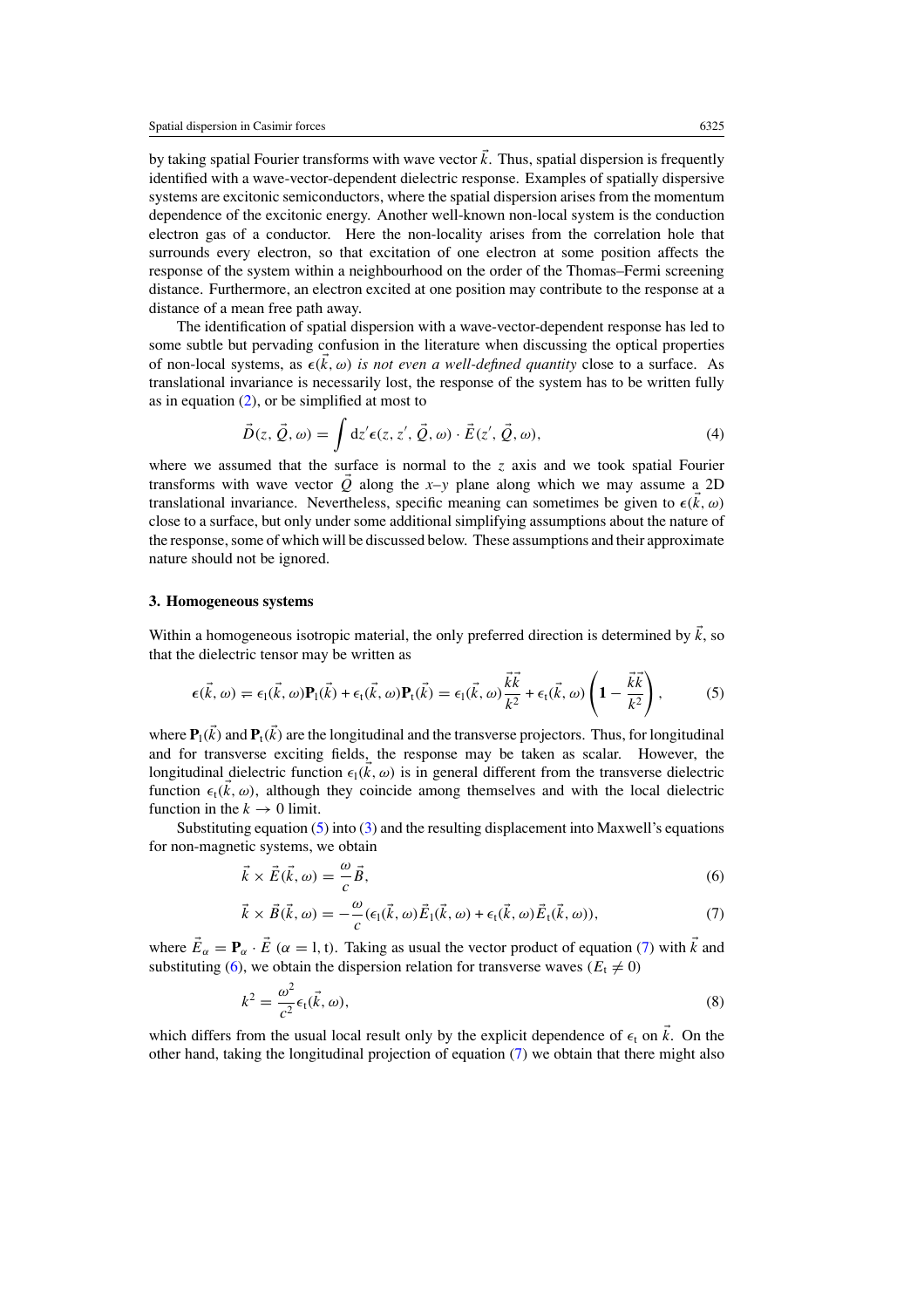<span id="page-2-0"></span>by taking spatial Fourier transforms with wave vector  $\vec{k}$ . Thus, spatial dispersion is frequently identified with a wave-vector-dependent dielectric response. Examples of spatially dispersive systems are excitonic semiconductors, where the spatial dispersion arises from the momentum dependence of the excitonic energy. Another well-known non-local system is the conduction electron gas of a conductor. Here the non-locality arises from the correlation hole that surrounds every electron, so that excitation of one electron at some position affects the response of the system within a neighbourhood on the order of the Thomas–Fermi screening distance. Furthermore, an electron excited at one position may contribute to the response at a distance of a mean free path away.

The identification of spatial dispersion with a wave-vector-dependent response has led to some subtle but pervading confusion in the literature when discussing the optical properties of non-local systems, as  $\epsilon(k, \omega)$  *is not even a well-defined quantity* close to a surface. As translational invariance is necessarily lost, the response of the system has to be written fully as in equation  $(2)$ , or be simplified at most to

$$
\vec{D}(z, \vec{Q}, \omega) = \int dz' \epsilon(z, z', \vec{Q}, \omega) \cdot \vec{E}(z', \vec{Q}, \omega), \tag{4}
$$

where we assumed that the surface is normal to the *z* axis and we took spatial Fourier transforms with wave vector  $\vec{Q}$  along the *x*–*y* plane along which we may assume a 2D translational invariance. Nevertheless, specific meaning can sometimes be given to  $\epsilon(\vec{k}, \omega)$ close to a surface, but only under some additional simplifying assumptions about the nature of the response, some of which will be discussed below. These assumptions and their approximate nature should not be ignored.

# **3. Homogeneous systems**

Within a homogeneous isotropic material, the only preferred direction is determined by  $\vec{k}$ , so that the dielectric tensor may be written as

$$
\epsilon(\vec{k},\omega) = \epsilon_1(\vec{k},\omega)\mathbf{P}_1(\vec{k}) + \epsilon_1(\vec{k},\omega)\mathbf{P}_1(\vec{k}) = \epsilon_1(\vec{k},\omega)\frac{\vec{k}\vec{k}}{k^2} + \epsilon_1(\vec{k},\omega)\left(1 - \frac{\vec{k}\vec{k}}{k^2}\right),\tag{5}
$$

where  $P_1(\vec{k})$  and  $P_t(\vec{k})$  are the longitudinal and the transverse projectors. Thus, for longitudinal and for transverse exciting fields, the response may be taken as scalar. However, the longitudinal dielectric function  $\epsilon_1(\vec{k}, \omega)$  is in general different from the transverse dielectric function  $\epsilon_1(\vec{k}, \omega)$ , although they coincide among themselves and with the local dielectric function in the  $k \to 0$  limit.

Substituting equation (5) into [\(3\)](#page-1-0) and the resulting displacement into Maxwell's equations for non-magnetic systems, we obtain

$$
\vec{k} \times \vec{E}(\vec{k}, \omega) = -\frac{\omega}{c}\vec{B},\tag{6}
$$

$$
\vec{k} \times \vec{B}(\vec{k}, \omega) = -\frac{\omega}{c} (\epsilon_1(\vec{k}, \omega) \vec{E}_1(\vec{k}, \omega) + \epsilon_1(\vec{k}, \omega) \vec{E}_1(\vec{k}, \omega)), \tag{7}
$$

where  $\vec{E}_{\alpha} = \mathbf{P}_{\alpha} \cdot \vec{E}$  ( $\alpha = 1, t$ ). Taking as usual the vector product of equation (7) with  $\vec{k}$  and substituting (6), we obtain the dispersion relation for transverse waves  $(E_t \neq 0)$ 

$$
k^2 = \frac{\omega^2}{c^2} \epsilon_t(\vec{k}, \omega), \tag{8}
$$

which differs from the usual local result only by the explicit dependence of  $\epsilon_1$  on  $\vec{k}$ . On the other hand, taking the longitudinal projection of equation (7) we obtain that there might also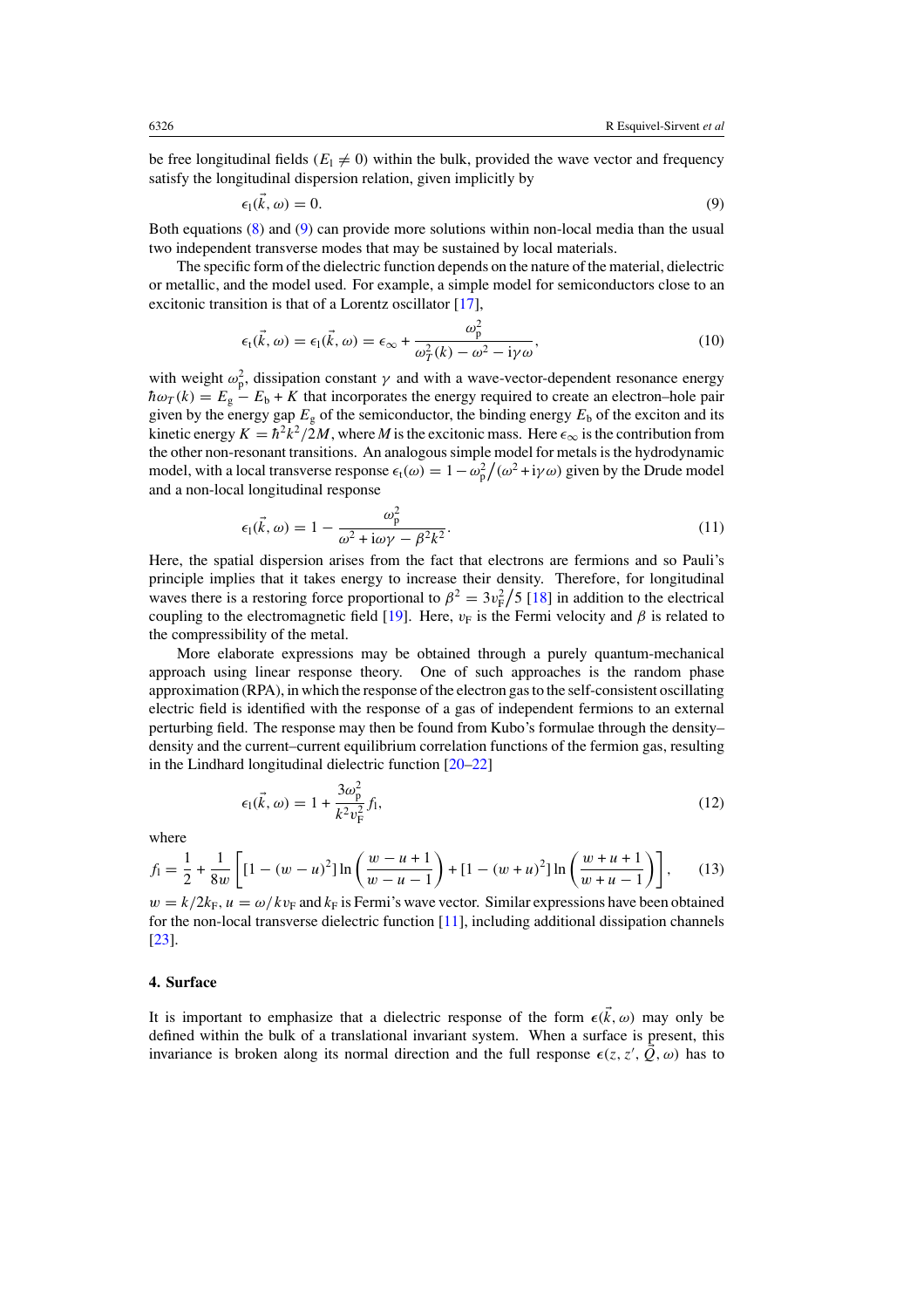<span id="page-3-0"></span>be free longitudinal fields  $(E_1 \neq 0)$  within the bulk, provided the wave vector and frequency satisfy the longitudinal dispersion relation, given implicitly by

$$
\epsilon_1(\vec{k}, \omega) = 0. \tag{9}
$$

Both equations [\(8\)](#page-2-0) and (9) can provide more solutions within non-local media than the usual two independent transverse modes that may be sustained by local materials.

The specific form of the dielectric function depends on the nature of the material, dielectric or metallic, and the model used. For example, a simple model for semiconductors close to an excitonic transition is that of a Lorentz oscillator [\[17\]](#page-8-0),

$$
\epsilon_{\mathfrak{l}}(\vec{k},\omega) = \epsilon_{\mathfrak{l}}(\vec{k},\omega) = \epsilon_{\infty} + \frac{\omega_{\mathfrak{p}}^2}{\omega_{\mathfrak{T}}^2(k) - \omega^2 - i\gamma\omega},\tag{10}
$$

with weight  $\omega_p^2$ , dissipation constant  $\gamma$  and with a wave-vector-dependent resonance energy  $\hbar \omega_T(k) = E_g - E_b + K$  that incorporates the energy required to create an electron–hole pair given by the energy gap  $E_g$  of the semiconductor, the binding energy  $E_b$  of the exciton and its kinetic energy  $K = \frac{\hbar^2 k^2}{2M}$ , where *M* is the excitonic mass. Here  $\epsilon_{\infty}$  is the contribution from the other non-resonant transitions. An analogous simple model for metals is the hydrodynamic model, with a local transverse response  $\epsilon_t(\omega) = 1 - \omega_p^2/(\omega^2 + i\gamma \omega)$  given by the Drude model and a non-local longitudinal response

$$
\epsilon_1(\vec{k}, \omega) = 1 - \frac{\omega_p^2}{\omega^2 + i\omega\gamma - \beta^2 k^2}.
$$
\n(11)

Here, the spatial dispersion arises from the fact that electrons are fermions and so Pauli's principle implies that it takes energy to increase their density. Therefore, for longitudinal waves there is a restoring force proportional to  $\beta^2 = 3v_F^2/5$  [\[18](#page-8-0)] in addition to the electrical coupling to the electromagnetic field [\[19\]](#page-8-0). Here,  $v_F$  is the Fermi velocity and  $\beta$  is related to the compressibility of the metal.

More elaborate expressions may be obtained through a purely quantum-mechanical approach using linear response theory. One of such approaches is the random phase approximation (RPA), in which the response of the electron gas to the self-consistent oscillating electric field is identified with the response of a gas of independent fermions to an external perturbing field. The response may then be found from Kubo's formulae through the density– density and the current–current equilibrium correlation functions of the fermion gas, resulting in the Lindhard longitudinal dielectric function [\[20–22\]](#page-8-0)

$$
\epsilon_1(\vec{k}, \omega) = 1 + \frac{3\omega_p^2}{k^2 v_F^2} f_1,
$$
\n(12)

where

$$
f_1 = \frac{1}{2} + \frac{1}{8w} \left[ \left[ 1 - (w - u)^2 \right] \ln \left( \frac{w - u + 1}{w - u - 1} \right) + \left[ 1 - (w + u)^2 \right] \ln \left( \frac{w + u + 1}{w + u - 1} \right) \right],\tag{13}
$$

 $w = k/2k_F$ ,  $u = \omega/kv_F$  and  $k_F$  is Fermi's wave vector. Similar expressions have been obtained for the non-local transverse dielectric function [\[11\]](#page-8-0), including additional dissipation channels [\[23](#page-8-0)].

## **4. Surface**

It is important to emphasize that a dielectric response of the form  $\epsilon(\vec{k}, \omega)$  may only be defined within the bulk of a translational invariant system. When a surface is present, this invariance is broken along its normal direction and the full response  $\epsilon(z, z', Q, \omega)$  has to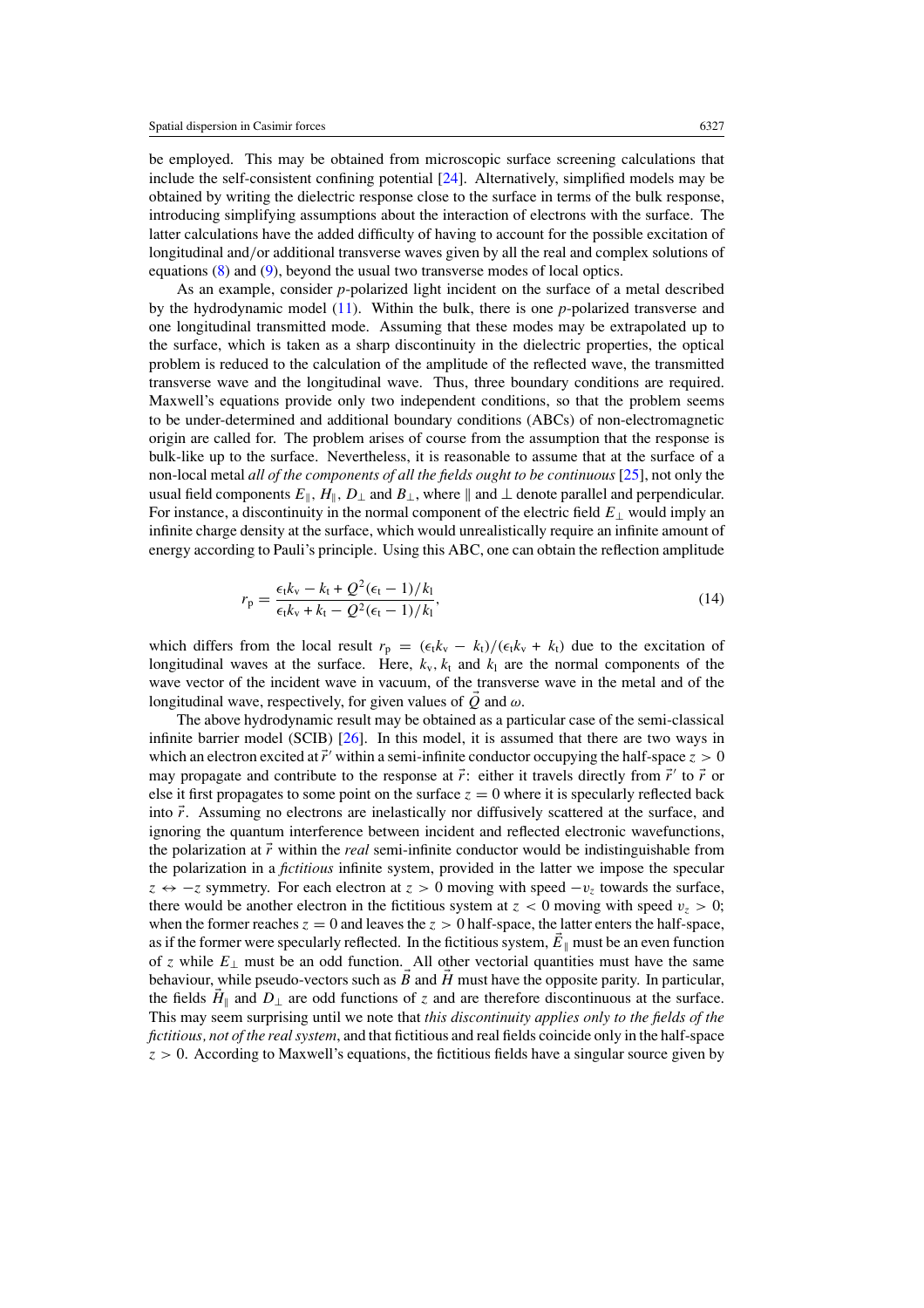<span id="page-4-0"></span>be employed. This may be obtained from microscopic surface screening calculations that include the self-consistent confining potential [\[24](#page-8-0)]. Alternatively, simplified models may be obtained by writing the dielectric response close to the surface in terms of the bulk response, introducing simplifying assumptions about the interaction of electrons with the surface. The latter calculations have the added difficulty of having to account for the possible excitation of longitudinal and*/*or additional transverse waves given by all the real and complex solutions of equations [\(8\)](#page-2-0) and [\(9\)](#page-3-0), beyond the usual two transverse modes of local optics.

As an example, consider *p*-polarized light incident on the surface of a metal described by the hydrodynamic model [\(11\)](#page-3-0). Within the bulk, there is one *p*-polarized transverse and one longitudinal transmitted mode. Assuming that these modes may be extrapolated up to the surface, which is taken as a sharp discontinuity in the dielectric properties, the optical problem is reduced to the calculation of the amplitude of the reflected wave, the transmitted transverse wave and the longitudinal wave. Thus, three boundary conditions are required. Maxwell's equations provide only two independent conditions, so that the problem seems to be under-determined and additional boundary conditions (ABCs) of non-electromagnetic origin are called for. The problem arises of course from the assumption that the response is bulk-like up to the surface. Nevertheless, it is reasonable to assume that at the surface of a non-local metal *all of the components of all the fields ought to be continuous* [\[25\]](#page-8-0), not only the usual field components  $E_{\parallel}$ ,  $H_{\parallel}$ ,  $D_{\perp}$  and  $B_{\perp}$ , where  $\parallel$  and  $\perp$  denote parallel and perpendicular. For instance, a discontinuity in the normal component of the electric field *E*<sup>⊥</sup> would imply an infinite charge density at the surface, which would unrealistically require an infinite amount of energy according to Pauli's principle. Using this ABC, one can obtain the reflection amplitude

$$
r_{\rm p} = \frac{\epsilon_{\rm t} k_{\rm v} - k_{\rm t} + Q^2 (\epsilon_{\rm t} - 1)/k_{\rm l}}{\epsilon_{\rm t} k_{\rm v} + k_{\rm t} - Q^2 (\epsilon_{\rm t} - 1)/k_{\rm l}},\tag{14}
$$

which differs from the local result  $r_p = (\epsilon_t k_v - k_t)/(\epsilon_t k_v + k_t)$  due to the excitation of longitudinal waves at the surface. Here,  $k_v$ ,  $k_t$  and  $k_l$  are the normal components of the wave vector of the incident wave in vacuum, of the transverse wave in the metal and of the longitudinal wave, respectively, for given values of *Q* and *ω*.

The above hydrodynamic result may be obtained as a particular case of the semi-classical infinite barrier model (SCIB) [\[26](#page-8-0)]. In this model, it is assumed that there are two ways in which an electron excited at  $\vec{r}'$  within a semi-infinite conductor occupying the half-space  $z > 0$ may propagate and contribute to the response at  $\vec{r}$ : either it travels directly from  $\vec{r}'$  to  $\vec{r}$  or else it first propagates to some point on the surface  $z = 0$  where it is specularly reflected back into  $\vec{r}$ . Assuming no electrons are inelastically nor diffusively scattered at the surface, and ignoring the quantum interference between incident and reflected electronic wavefunctions, the polarization at  $\vec{r}$  within the *real* semi-infinite conductor would be indistinguishable from the polarization in a *fictitious* infinite system, provided in the latter we impose the specular *z*  $\leftrightarrow$  −*z* symmetry. For each electron at *z* > 0 moving with speed −*v<sub>z</sub>* towards the surface, there would be another electron in the fictitious system at  $z < 0$  moving with speed  $v_z > 0$ ; when the former reaches  $z = 0$  and leaves the  $z > 0$  half-space, the latter enters the half-space, as if the former were specularly reflected. In the fictitious system,  $\vec{E}_{\parallel}$  must be an even function of *z* while  $E_{\perp}$  must be an odd function. All other vectorial quantities must have the same behaviour, while pseudo-vectors such as *B* and *H* must have the opposite parity. In particular, the fields  $\vec{H}_{\parallel}$  and  $D_{\perp}$  are odd functions of *z* and are therefore discontinuous at the surface. This may seem surprising until we note that *this discontinuity applies only to the fields of the fictitious, not of the real system*, and that fictitious and real fields coincide only in the half-space  $z > 0$ . According to Maxwell's equations, the fictitious fields have a singular source given by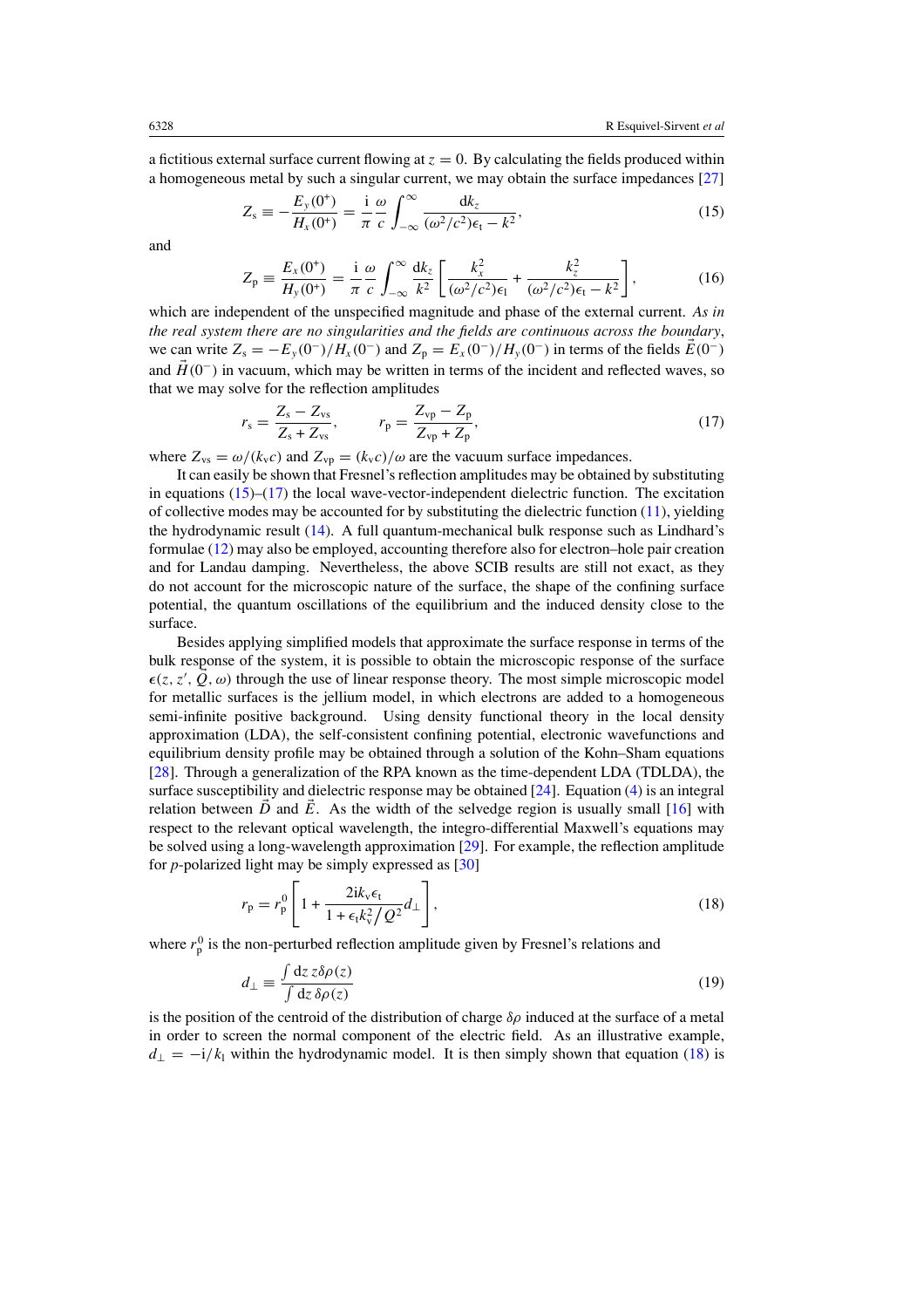<span id="page-5-0"></span>a fictitious external surface current flowing at  $z = 0$ . By calculating the fields produced within a homogeneous metal by such a singular current, we may obtain the surface impedances [\[27\]](#page-8-0)

$$
Z_{\rm s} \equiv -\frac{E_{\rm y}(0^+)}{H_{\rm x}(0^+)} = \frac{\rm i}{\pi} \frac{\omega}{c} \int_{-\infty}^{\infty} \frac{\mathrm{d}k_z}{(\omega^2/c^2)\epsilon_{\rm t} - k^2},\tag{15}
$$

and

$$
Z_{\rm p} \equiv \frac{E_x(0^*)}{H_y(0^*)} = \frac{\mathrm{i}}{\pi} \frac{\omega}{c} \int_{-\infty}^{\infty} \frac{\mathrm{d}k_z}{k^2} \left[ \frac{k_x^2}{(\omega^2/c^2)\epsilon_1} + \frac{k_z^2}{(\omega^2/c^2)\epsilon_1 - k^2} \right],\tag{16}
$$

which are independent of the unspecified magnitude and phase of the external current. *As in the real system there are no singularities and the fields are continuous across the boundary*, we can write  $Z_s = -E_y(0^-)/H_x(0^-)$  and  $Z_p = E_x(0^-)/H_y(0^-)$  in terms of the fields  $\vec{E}(0^-)$ and  $H(0^-)$  in vacuum, which may be written in terms of the incident and reflected waves, so that we may solve for the reflection amplitudes

$$
r_{s} = \frac{Z_{s} - Z_{vs}}{Z_{s} + Z_{vs}}, \qquad r_{p} = \frac{Z_{vp} - Z_{p}}{Z_{vp} + Z_{p}},
$$
\n(17)

where  $Z_{vs} = \omega/(k_v c)$  and  $Z_{vp} = (k_v c)/\omega$  are the vacuum surface impedances.

It can easily be shown that Fresnel's reflection amplitudes may be obtained by substituting in equations  $(15)$ – $(17)$  the local wave-vector-independent dielectric function. The excitation of collective modes may be accounted for by substituting the dielectric function  $(11)$ , yielding the hydrodynamic result [\(14\)](#page-4-0). A full quantum-mechanical bulk response such as Lindhard's formulae [\(12\)](#page-3-0) may also be employed, accounting therefore also for electron–hole pair creation and for Landau damping. Nevertheless, the above SCIB results are still not exact, as they do not account for the microscopic nature of the surface, the shape of the confining surface potential, the quantum oscillations of the equilibrium and the induced density close to the surface.

Besides applying simplified models that approximate the surface response in terms of the bulk response of the system, it is possible to obtain the microscopic response of the surface  $\epsilon(z, z', Q, \omega)$  through the use of linear response theory. The most simple microscopic model for metallic surfaces is the jellium model, in which electrons are added to a homogeneous semi-infinite positive background. Using density functional theory in the local density approximation (LDA), the self-consistent confining potential, electronic wavefunctions and equilibrium density profile may be obtained through a solution of the Kohn–Sham equations [\[28](#page-8-0)]. Through a generalization of the RPA known as the time-dependent LDA (TDLDA), the surface susceptibility and dielectric response may be obtained [\[24\]](#page-8-0). Equation [\(4\)](#page-2-0) is an integral relation between  $\ddot{D}$  and  $\ddot{E}$ . As the width of the selvedge region is usually small [\[16](#page-8-0)] with respect to the relevant optical wavelength, the integro-differential Maxwell's equations may be solved using a long-wavelength approximation [\[29\]](#page-8-0). For example, the reflection amplitude for *p*-polarized light may be simply expressed as [\[30\]](#page-8-0)

$$
r_{\rm p} = r_{\rm p}^0 \left[ 1 + \frac{2ik_{\rm v}\epsilon_{\rm t}}{1 + \epsilon_{\rm t}k_{\rm v}^2/Q^2} d_{\perp} \right],\tag{18}
$$

where  $r_p^0$  is the non-perturbed reflection amplitude given by Fresnel's relations and

$$
d_{\perp} \equiv \frac{\int dz \, z \delta \rho(z)}{\int dz \, \delta \rho(z)}\tag{19}
$$

is the position of the centroid of the distribution of charge *δρ* induced at the surface of a metal in order to screen the normal component of the electric field. As an illustrative example,  $d_{\perp} = -i/k_1$  within the hydrodynamic model. It is then simply shown that equation (18) is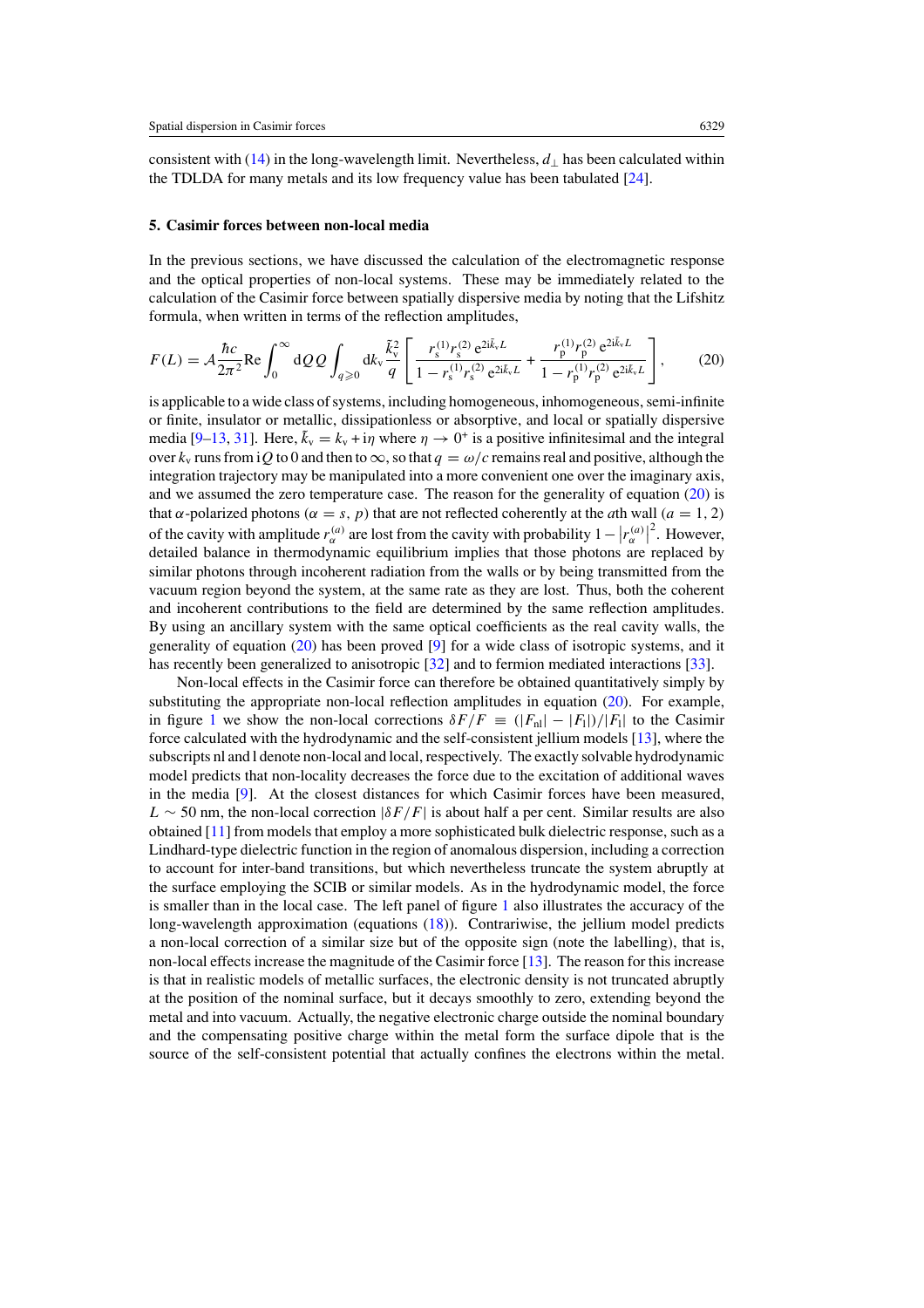consistent with [\(14\)](#page-4-0) in the long-wavelength limit. Nevertheless, *d*<sup>⊥</sup> has been calculated within the TDLDA for many metals and its low frequency value has been tabulated [\[24\]](#page-8-0).

#### **5. Casimir forces between non-local media**

In the previous sections, we have discussed the calculation of the electromagnetic response and the optical properties of non-local systems. These may be immediately related to the calculation of the Casimir force between spatially dispersive media by noting that the Lifshitz formula, when written in terms of the reflection amplitudes,

$$
F(L) = \mathcal{A} \frac{\hbar c}{2\pi^2} \text{Re} \int_0^\infty dQ \, Q \int_{q\geqslant 0} dk_v \frac{\tilde{k}_v^2}{q} \left[ \frac{r_s^{(1)} r_s^{(2)} e^{2i\tilde{k}_v L}}{1 - r_s^{(1)} r_s^{(2)} e^{2i\tilde{k}_v L}} + \frac{r_p^{(1)} r_p^{(2)} e^{2i\tilde{k}_v L}}{1 - r_p^{(1)} r_p^{(2)} e^{2i\tilde{k}_v L}} \right],\tag{20}
$$

is applicable to a wide class of systems, including homogeneous, inhomogeneous, semi-infinite or finite, insulator or metallic, dissipationless or absorptive, and local or spatially dispersive media [\[9–13,](#page-8-0) [31\]](#page-8-0). Here,  $\tilde{k}_v = k_v + i\eta$  where  $\eta \to 0^+$  is a positive infinitesimal and the integral over  $k_v$  runs from i*Q* to 0 and then to  $\infty$ , so that  $q = \omega/c$  remains real and positive, although the integration trajectory may be manipulated into a more convenient one over the imaginary axis, and we assumed the zero temperature case. The reason for the generality of equation (20) is that *α*-polarized photons ( $α = s$ ,  $p$ ) that are not reflected coherently at the *a*th wall ( $a = 1, 2$ ) of the cavity with amplitude  $r_{\alpha}^{(a)}$  are lost from the cavity with probability  $1 - |r_{\alpha}^{(a)}|$  $2$ . However, detailed balance in thermodynamic equilibrium implies that those photons are replaced by similar photons through incoherent radiation from the walls or by being transmitted from the vacuum region beyond the system, at the same rate as they are lost. Thus, both the coherent and incoherent contributions to the field are determined by the same reflection amplitudes. By using an ancillary system with the same optical coefficients as the real cavity walls, the generality of equation (20) has been proved [\[9\]](#page-8-0) for a wide class of isotropic systems, and it has recently been generalized to anisotropic [\[32](#page-8-0)] and to fermion mediated interactions [\[33\]](#page-8-0).

Non-local effects in the Casimir force can therefore be obtained quantitatively simply by substituting the appropriate non-local reflection amplitudes in equation (20). For example, in figure [1](#page-7-0) we show the non-local corrections  $\delta F/F \equiv (|F_{\text{nl}}|-|F_{\text{l}}|)/|F_{\text{l}}|$  to the Casimir force calculated with the hydrodynamic and the self-consistent jellium models [\[13\]](#page-8-0), where the subscripts nl and l denote non-local and local, respectively. The exactly solvable hydrodynamic model predicts that non-locality decreases the force due to the excitation of additional waves in the media [\[9\]](#page-8-0). At the closest distances for which Casimir forces have been measured,  $L \sim 50$  nm, the non-local correction  $|\delta F/F|$  is about half a per cent. Similar results are also obtained [\[11](#page-8-0)] from models that employ a more sophisticated bulk dielectric response, such as a Lindhard-type dielectric function in the region of anomalous dispersion, including a correction to account for inter-band transitions, but which nevertheless truncate the system abruptly at the surface employing the SCIB or similar models. As in the hydrodynamic model, the force is smaller than in the local case. The left panel of figure [1](#page-7-0) also illustrates the accuracy of the long-wavelength approximation (equations [\(18\)](#page-5-0)). Contrariwise, the jellium model predicts a non-local correction of a similar size but of the opposite sign (note the labelling), that is, non-local effects increase the magnitude of the Casimir force [\[13\]](#page-8-0). The reason for this increase is that in realistic models of metallic surfaces, the electronic density is not truncated abruptly at the position of the nominal surface, but it decays smoothly to zero, extending beyond the metal and into vacuum. Actually, the negative electronic charge outside the nominal boundary and the compensating positive charge within the metal form the surface dipole that is the source of the self-consistent potential that actually confines the electrons within the metal.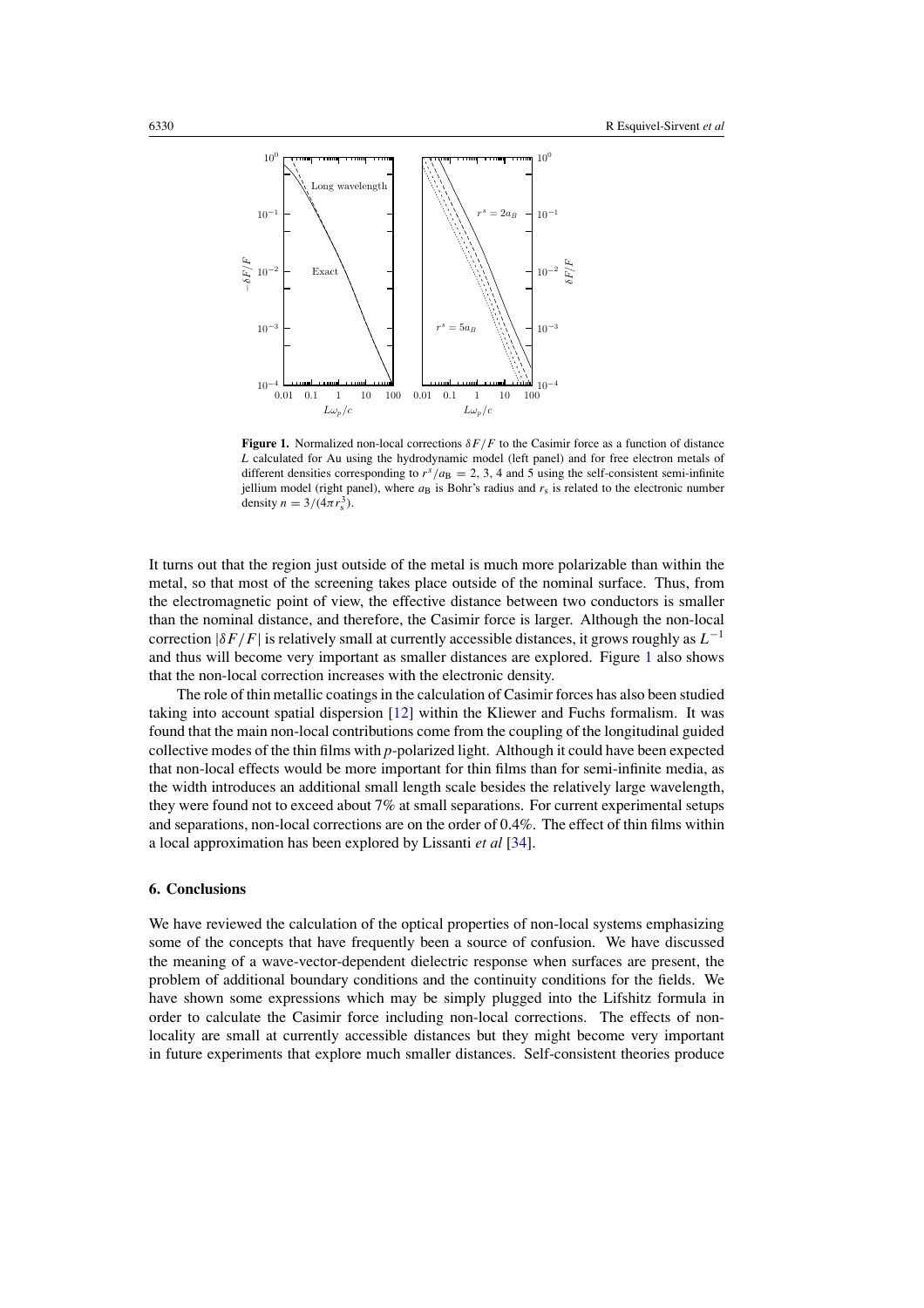<span id="page-7-0"></span>

**Figure 1.** Normalized non-local corrections  $\delta F/F$  to the Casimir force as a function of distance *L* calculated for Au using the hydrodynamic model (left panel) and for free electron metals of different densities corresponding to  $r^s/a_B = 2$ , 3, 4 and 5 using the self-consistent semi-infinite jellium model (right panel), where  $a_B$  is Bohr's radius and  $r_s$  is related to the electronic number density  $n = 3/(4\pi r_s^3)$ .

It turns out that the region just outside of the metal is much more polarizable than within the metal, so that most of the screening takes place outside of the nominal surface. Thus, from the electromagnetic point of view, the effective distance between two conductors is smaller than the nominal distance, and therefore, the Casimir force is larger. Although the non-local correction  $|\delta F/F|$  is relatively small at currently accessible distances, it grows roughly as  $L^{-1}$ and thus will become very important as smaller distances are explored. Figure 1 also shows that the non-local correction increases with the electronic density.

The role of thin metallic coatings in the calculation of Casimir forces has also been studied taking into account spatial dispersion [\[12](#page-8-0)] within the Kliewer and Fuchs formalism. It was found that the main non-local contributions come from the coupling of the longitudinal guided collective modes of the thin films with *p*-polarized light. Although it could have been expected that non-local effects would be more important for thin films than for semi-infinite media, as the width introduces an additional small length scale besides the relatively large wavelength, they were found not to exceed about 7% at small separations. For current experimental setups and separations, non-local corrections are on the order of 0.4%. The effect of thin films within a local approximation has been explored by Lissanti *et al* [\[34](#page-8-0)].

## **6. Conclusions**

We have reviewed the calculation of the optical properties of non-local systems emphasizing some of the concepts that have frequently been a source of confusion. We have discussed the meaning of a wave-vector-dependent dielectric response when surfaces are present, the problem of additional boundary conditions and the continuity conditions for the fields. We have shown some expressions which may be simply plugged into the Lifshitz formula in order to calculate the Casimir force including non-local corrections. The effects of nonlocality are small at currently accessible distances but they might become very important in future experiments that explore much smaller distances. Self-consistent theories produce